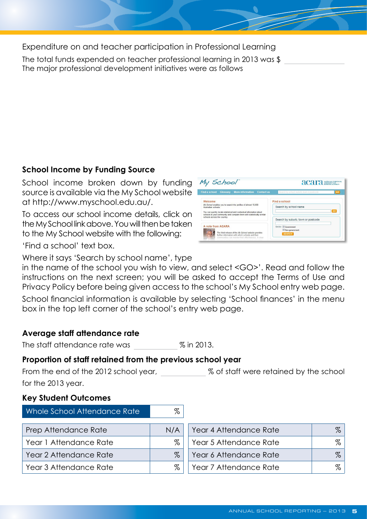Expenditure on and teacher participation in Professional Learning

95000 The total funds expended on teacher professional learning in 2013 was \$ The major professional development initiatives were as follows

Reading - all teachers completed First Steps Reading and teachers from Year 5 - 7 completed Reading to Learn training (8 days)

Visible Learning - introduction to John Hattie and his research. Committee (7 teachers completed Day 1 of training)

Australian Curriculum - Yearly plans for English and Mathematics

Crack the Code - implementation P-1 of phonics programme and training of teachers from P-3

Religion Curriculum - background knowledge, unit planning and assessment

# **School Income by Funding Source**

School income broken down by funding source is available via the My School website at http://www.myschool.edu.au/.

To access our school income details, click on the My School link above. You will then be taken to the My School website with the following:

| My School                                                                                                                                                                                      | acara <b>month</b>                                       |  |
|------------------------------------------------------------------------------------------------------------------------------------------------------------------------------------------------|----------------------------------------------------------|--|
| Find a school<br>Glossary More information<br>Contact us                                                                                                                                       | <b>T</b> GO<br>Search by school suburb, town ar postcode |  |
| Welcome                                                                                                                                                                                        | Find a school                                            |  |
| My School enables you to search the profiles of almost 10,000<br>Australian schools                                                                                                            | Search by school name                                    |  |
| You can quickly locate statistical and contextual information about<br>schools in your community and compare them with statistically similar                                                   | <b>ao</b>                                                |  |
| schools across the country.                                                                                                                                                                    | Search by suburb, town or postcode                       |  |
| A note from ACARA                                                                                                                                                                              | Sector V Government                                      |  |
| The third release of the My School website provides<br>further information with which achools and their<br>communities can monitor their effectiveness. A clear<br>was an annot better man his | V Non-government<br><b>SEARCH</b>                        |  |

'Find a school' text box.

Where it says 'Search by school name', type

in the name of the school you wish to view, and select <GO>'. Read and follow the instructions on the next screen; you will be asked to accept the Terms of Use and Privacy Policy before being given access to the school's My School entry web page.

School financial information is available by selecting 'School finances' in the menu box in the top left corner of the school's entry web page.

## Average staff attendance rate

The staff attendance rate was 96.4 % in 2013.

## Proportion of staff retained from the previous school year

93 % of staff were retained by the school From the end of the 2012 school year, for the 2013 year.

#### **Key Student Outcomes**

| Whole School Attendance Rate | 94 | %   |                        |    |   |
|------------------------------|----|-----|------------------------|----|---|
| <b>Prep Attendance Rate</b>  |    | N/A | Year 4 Attendance Rate | 95 | % |
| Year 1 Attendance Rate       | 94 | %   | Year 5 Attendance Rate | 93 | % |
| Year 2 Attendance Rate       | 95 | %   | Year 6 Attendance Rate | 96 | % |
| Year 3 Attendance Rate       | 94 | %   | Year 7 Attendance Rate | 94 | % |